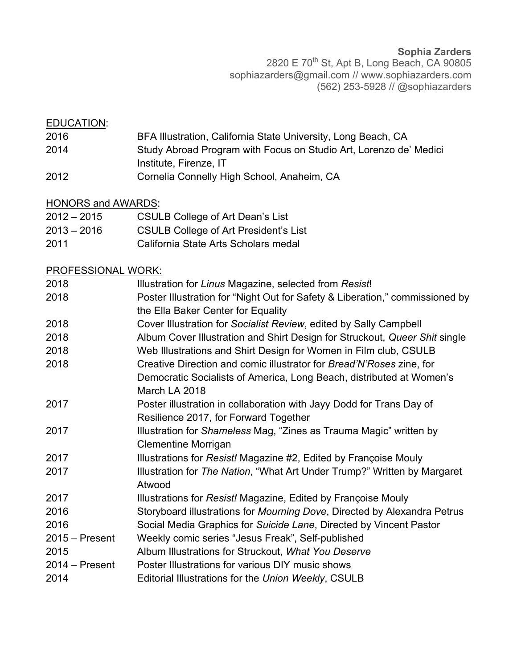**Sophia Zarders** 2820 E 70<sup>th</sup> St, Apt B, Long Beach, CA 90805 sophiazarders@gmail.com // www.sophiazarders.com (562) 253-5928 // @sophiazarders

## EDUCATION:

- 2016 BFA Illustration, California State University, Long Beach, CA 2014 Study Abroad Program with Focus on Studio Art, Lorenzo de' Medici
	- Institute, Firenze, IT
- 2012 Cornelia Connelly High School, Anaheim, CA

## HONORS and AWARDS:

- 2012 2015 CSULB College of Art Dean's List
- 2013 2016 CSULB College of Art President's List
- 2011 California State Arts Scholars medal

## PROFESSIONAL WORK:

| Illustration for Linus Magazine, selected from Resist!                                                             |
|--------------------------------------------------------------------------------------------------------------------|
| Poster Illustration for "Night Out for Safety & Liberation," commissioned by<br>the Ella Baker Center for Equality |
| Cover Illustration for Socialist Review, edited by Sally Campbell                                                  |
| Album Cover Illustration and Shirt Design for Struckout, Queer Shit single                                         |
| Web Illustrations and Shirt Design for Women in Film club, CSULB                                                   |
| Creative Direction and comic illustrator for Bread'N'Roses zine, for                                               |
| Democratic Socialists of America, Long Beach, distributed at Women's                                               |
| March LA 2018                                                                                                      |
| Poster illustration in collaboration with Jayy Dodd for Trans Day of                                               |
| Resilience 2017, for Forward Together                                                                              |
| Illustration for Shameless Mag, "Zines as Trauma Magic" written by                                                 |
| <b>Clementine Morrigan</b>                                                                                         |
| Illustrations for Resist! Magazine #2, Edited by Françoise Mouly                                                   |
| Illustration for The Nation, "What Art Under Trump?" Written by Margaret                                           |
| Atwood                                                                                                             |
| Illustrations for Resist! Magazine, Edited by Françoise Mouly                                                      |
| Storyboard illustrations for Mourning Dove, Directed by Alexandra Petrus                                           |
| Social Media Graphics for Suicide Lane, Directed by Vincent Pastor                                                 |
| Weekly comic series "Jesus Freak", Self-published                                                                  |
| Album Illustrations for Struckout, What You Deserve                                                                |
| Poster Illustrations for various DIY music shows                                                                   |
| Editorial Illustrations for the Union Weekly, CSULB                                                                |
|                                                                                                                    |